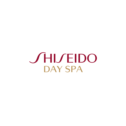**SHISEIDO** DAY SPA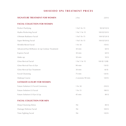### **SHISEIDO SPA TREATMENT PRICES**

| 2 hrs             | 220\$            |
|-------------------|------------------|
|                   |                  |
| 1 hr/1 hr 15      | 90 \$/110 \$     |
| 1 hr/ 1 hr 15     | 100 \$/120 \$    |
| 1 hr/1 hr 15      | 100 \$/120 \$    |
| 1 hr/1 hr 15      | 100 \$/120 \$    |
| 1 hr 30           | 150\$            |
| 30 min            | 60\$             |
| 30 min            | 60\$             |
| $30$ min          | 50\$             |
| 1 hr/ 1 hr 15     | 100 \$/120\$     |
| 90 min            | 130 \$           |
| 30 min            | 60\$             |
| $75$ min          | 120S             |
| 2 sessions 90 min | 120 <sup>s</sup> |
|                   |                  |
| 1 hr 30           | 250 \$           |
| 1 hr 15           | 180\$            |
| 45 min            | 80\$             |
|                   |                  |
| 1hr               | 80\$             |
| 1hr               | 100\$            |
| 1hr               | 120\$            |
|                   |                  |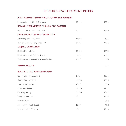# **SHISEIDO SPA TREATMENT PRICES**

#### **BODY ULTIMATE LUXURY COLLECTION FOR WOMEN**

| Future Solution LX Body Treatment           | 90 min          | 130S            |
|---------------------------------------------|-----------------|-----------------|
| <b>RELAXING TREATMENT FOR MEN AND WOMEN</b> |                 |                 |
| Back & Scalp Relaxing Treatment             | $60$ min        | 100S            |
| <b>DELICATE PREGNANCY COLLECTION</b>        |                 |                 |
| Pregnancy Body Treatment                    | 45 min          | 80\$            |
| Pregnancy Face & Body Treatment             | 75 min          | 140S            |
| <b>ONJAKU COLLECTION</b>                    |                 |                 |
| Onjaku Face & Body                          | 90 min          | 180\$           |
| Onjaku Facial For Women & Men               | 75 min          | 135S            |
| Onjaku Back Massage For Women & Men         | 30 min          | 45S             |
| <b>BRIDAL BEAUTY</b>                        |                 | 350\$           |
| <b>BODY COLLECTION FOR WOMEN</b>            |                 |                 |
| Kuroho Body Massage Bliss                   | $2$ hrs         | 150\$           |
| Kuroho Body Massage                         | 1 hr 30         | 100\$           |
| Kuroho Body Polish                          | 45 min          | 60\$            |
| Total Zen Delight                           | 1 hr 30         | 120\$           |
| Relaxing Massage                            | 1 hr 30         | 100S            |
| Deep Tension Relief                         | 1 <sub>hr</sub> | 100S            |
| <b>Body Sculpting</b>                       | 1 <sub>hr</sub> | 90 <sup>5</sup> |
| Hip, Leg and Thigh Sculpt                   | 45 min          | 60\$            |
| Japanese Jet Lag Therapy                    | 1 <sub>hr</sub> | 100S            |